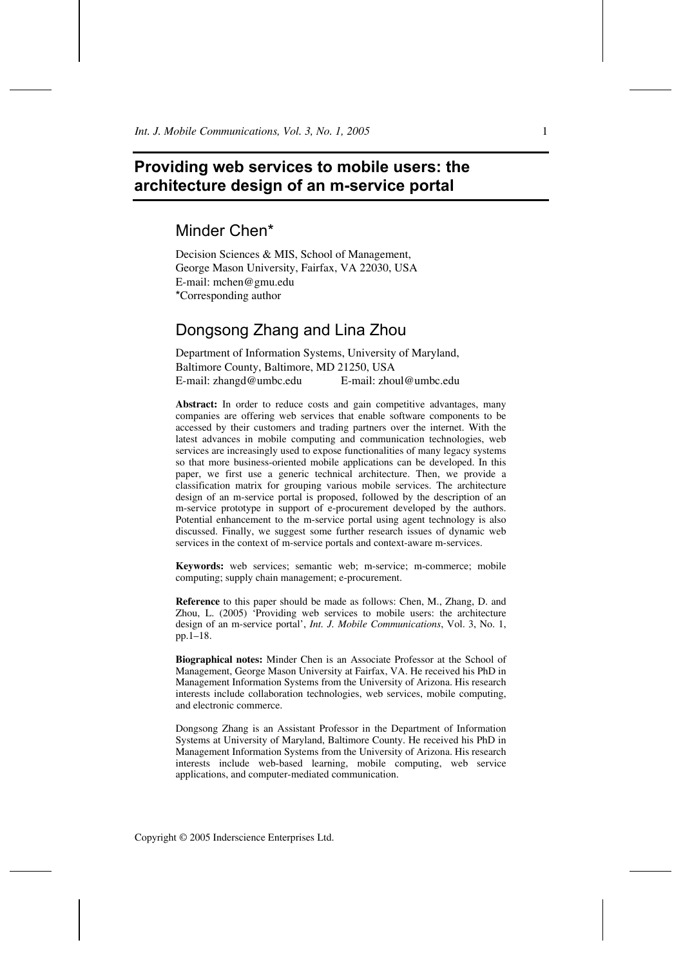# **Providing web services to mobile users: the architecture design of an m-service portal**

# Minder Chen\*

Decision Sciences & MIS, School of Management, George Mason University, Fairfax, VA 22030, USA E-mail: mchen@gmu.edu \*Corresponding author

# Dongsong Zhang and Lina Zhou

Department of Information Systems, University of Maryland, Baltimore County, Baltimore, MD 21250, USA E-mail: zhangd@umbc.edu E-mail: zhoul@umbc.edu

Abstract: In order to reduce costs and gain competitive advantages, many companies are offering web services that enable software components to be accessed by their customers and trading partners over the internet. With the latest advances in mobile computing and communication technologies, web services are increasingly used to expose functionalities of many legacy systems so that more business-oriented mobile applications can be developed. In this paper, we first use a generic technical architecture. Then, we provide a classification matrix for grouping various mobile services. The architecture design of an m-service portal is proposed, followed by the description of an m-service prototype in support of e-procurement developed by the authors. Potential enhancement to the m-service portal using agent technology is also discussed. Finally, we suggest some further research issues of dynamic web services in the context of m-service portals and context-aware m-services.

**Keywords:** web services; semantic web; m-service; m-commerce; mobile computing; supply chain management; e-procurement.

**Reference** to this paper should be made as follows: Chen, M., Zhang, D. and Zhou, L. (2005) 'Providing web services to mobile users: the architecture design of an m-service portal', *Int. J. Mobile Communications*, Vol. 3, No. 1, pp.1–18.

**Biographical notes:** Minder Chen is an Associate Professor at the School of Management, George Mason University at Fairfax, VA. He received his PhD in Management Information Systems from the University of Arizona. His research interests include collaboration technologies, web services, mobile computing, and electronic commerce.

Dongsong Zhang is an Assistant Professor in the Department of Information Systems at University of Maryland, Baltimore County. He received his PhD in Management Information Systems from the University of Arizona. His research interests include web-based learning, mobile computing, web service applications, and computer-mediated communication.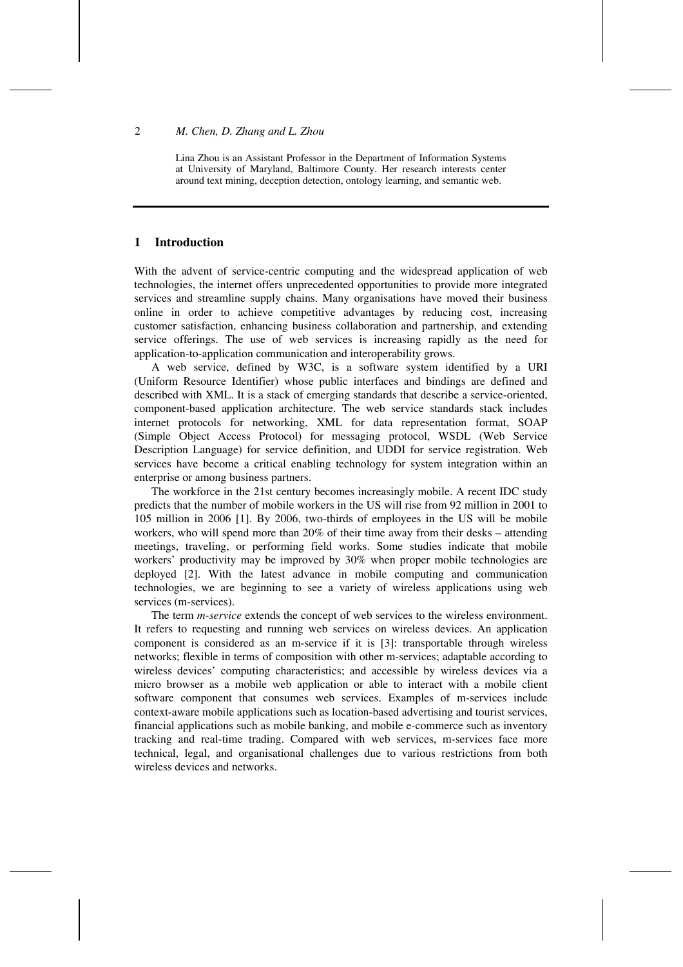Lina Zhou is an Assistant Professor in the Department of Information Systems at University of Maryland, Baltimore County. Her research interests center around text mining, deception detection, ontology learning, and semantic web.

## **1 Introduction**

With the advent of service-centric computing and the widespread application of web technologies, the internet offers unprecedented opportunities to provide more integrated services and streamline supply chains. Many organisations have moved their business online in order to achieve competitive advantages by reducing cost, increasing customer satisfaction, enhancing business collaboration and partnership, and extending service offerings. The use of web services is increasing rapidly as the need for application-to-application communication and interoperability grows.

A web service, defined by W3C, is a software system identified by a URI (Uniform Resource Identifier) whose public interfaces and bindings are defined and described with XML. It is a stack of emerging standards that describe a service-oriented, component-based application architecture. The web service standards stack includes internet protocols for networking, XML for data representation format, SOAP (Simple Object Access Protocol) for messaging protocol, WSDL (Web Service Description Language) for service definition, and UDDI for service registration. Web services have become a critical enabling technology for system integration within an enterprise or among business partners.

The workforce in the 21st century becomes increasingly mobile. A recent IDC study predicts that the number of mobile workers in the US will rise from 92 million in 2001 to 105 million in 2006 [1]. By 2006, two-thirds of employees in the US will be mobile workers, who will spend more than 20% of their time away from their desks – attending meetings, traveling, or performing field works. Some studies indicate that mobile workers' productivity may be improved by 30% when proper mobile technologies are deployed [2]. With the latest advance in mobile computing and communication technologies, we are beginning to see a variety of wireless applications using web services (m-services).

The term *m-service* extends the concept of web services to the wireless environment. It refers to requesting and running web services on wireless devices. An application component is considered as an m-service if it is [3]: transportable through wireless networks; flexible in terms of composition with other m-services; adaptable according to wireless devices' computing characteristics; and accessible by wireless devices via a micro browser as a mobile web application or able to interact with a mobile client software component that consumes web services. Examples of m-services include context-aware mobile applications such as location-based advertising and tourist services, financial applications such as mobile banking, and mobile e-commerce such as inventory tracking and real-time trading. Compared with web services, m-services face more technical, legal, and organisational challenges due to various restrictions from both wireless devices and networks.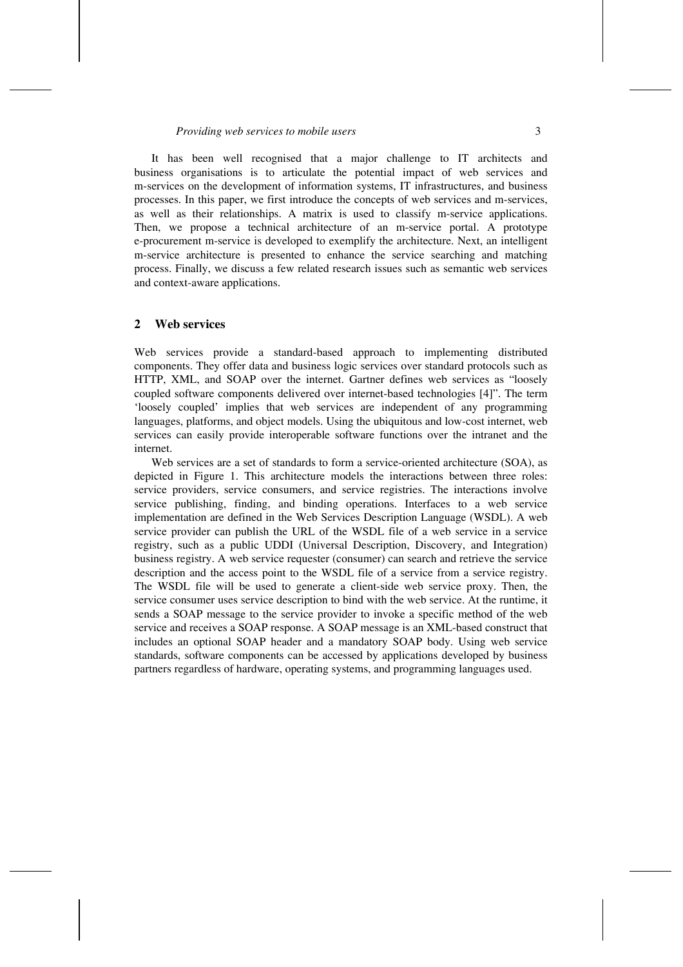It has been well recognised that a major challenge to IT architects and business organisations is to articulate the potential impact of web services and m-services on the development of information systems, IT infrastructures, and business processes. In this paper, we first introduce the concepts of web services and m-services, as well as their relationships. A matrix is used to classify m-service applications. Then, we propose a technical architecture of an m-service portal. A prototype e-procurement m-service is developed to exemplify the architecture. Next, an intelligent m-service architecture is presented to enhance the service searching and matching process. Finally, we discuss a few related research issues such as semantic web services and context-aware applications.

## **2 Web services**

Web services provide a standard-based approach to implementing distributed components. They offer data and business logic services over standard protocols such as HTTP, XML, and SOAP over the internet. Gartner defines web services as "loosely coupled software components delivered over internet-based technologies [4]". The term 'loosely coupled' implies that web services are independent of any programming languages, platforms, and object models. Using the ubiquitous and low-cost internet, web services can easily provide interoperable software functions over the intranet and the internet.

Web services are a set of standards to form a service-oriented architecture (SOA), as depicted in Figure 1. This architecture models the interactions between three roles: service providers, service consumers, and service registries. The interactions involve service publishing, finding, and binding operations. Interfaces to a web service implementation are defined in the Web Services Description Language (WSDL). A web service provider can publish the URL of the WSDL file of a web service in a service registry, such as a public UDDI (Universal Description, Discovery, and Integration) business registry. A web service requester (consumer) can search and retrieve the service description and the access point to the WSDL file of a service from a service registry. The WSDL file will be used to generate a client-side web service proxy. Then, the service consumer uses service description to bind with the web service. At the runtime, it sends a SOAP message to the service provider to invoke a specific method of the web service and receives a SOAP response. A SOAP message is an XML-based construct that includes an optional SOAP header and a mandatory SOAP body. Using web service standards, software components can be accessed by applications developed by business partners regardless of hardware, operating systems, and programming languages used.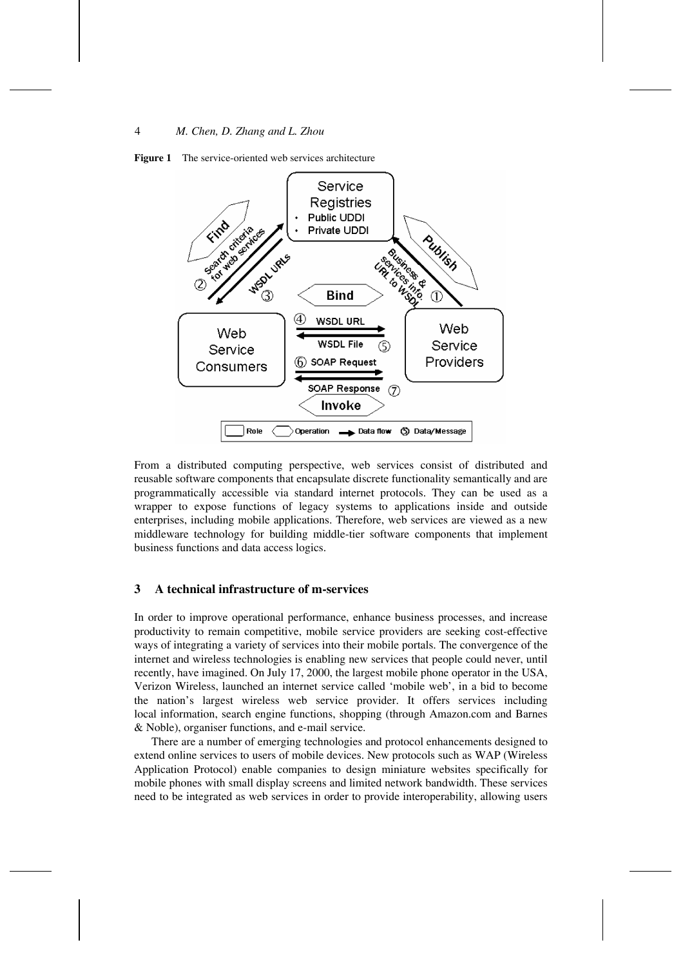

Figure 1 The service-oriented web services architecture

From a distributed computing perspective, web services consist of distributed and reusable software components that encapsulate discrete functionality semantically and are programmatically accessible via standard internet protocols. They can be used as a wrapper to expose functions of legacy systems to applications inside and outside enterprises, including mobile applications. Therefore, web services are viewed as a new middleware technology for building middle-tier software components that implement business functions and data access logics.

## **3 A technical infrastructure of m-services**

In order to improve operational performance, enhance business processes, and increase productivity to remain competitive, mobile service providers are seeking cost-effective ways of integrating a variety of services into their mobile portals. The convergence of the internet and wireless technologies is enabling new services that people could never, until recently, have imagined. On July 17, 2000, the largest mobile phone operator in the USA, Verizon Wireless, launched an internet service called 'mobile web', in a bid to become the nation's largest wireless web service provider. It offers services including local information, search engine functions, shopping (through Amazon.com and Barnes & Noble), organiser functions, and e-mail service.

There are a number of emerging technologies and protocol enhancements designed to extend online services to users of mobile devices. New protocols such as WAP (Wireless Application Protocol) enable companies to design miniature websites specifically for mobile phones with small display screens and limited network bandwidth. These services need to be integrated as web services in order to provide interoperability, allowing users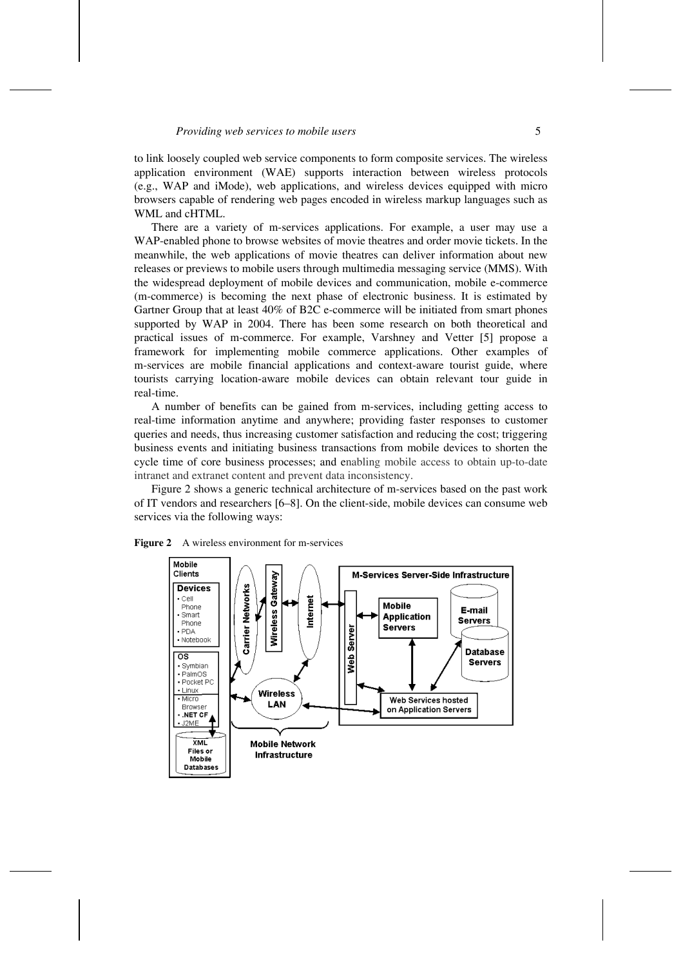to link loosely coupled web service components to form composite services. The wireless application environment (WAE) supports interaction between wireless protocols (e.g., WAP and iMode), web applications, and wireless devices equipped with micro browsers capable of rendering web pages encoded in wireless markup languages such as WML and cHTML.

There are a variety of m-services applications. For example, a user may use a WAP-enabled phone to browse websites of movie theatres and order movie tickets. In the meanwhile, the web applications of movie theatres can deliver information about new releases or previews to mobile users through multimedia messaging service (MMS). With the widespread deployment of mobile devices and communication, mobile e-commerce (m-commerce) is becoming the next phase of electronic business. It is estimated by Gartner Group that at least 40% of B2C e-commerce will be initiated from smart phones supported by WAP in 2004. There has been some research on both theoretical and practical issues of m-commerce. For example, Varshney and Vetter [5] propose a framework for implementing mobile commerce applications. Other examples of m-services are mobile financial applications and context-aware tourist guide, where tourists carrying location-aware mobile devices can obtain relevant tour guide in real-time.

A number of benefits can be gained from m-services, including getting access to real-time information anytime and anywhere; providing faster responses to customer queries and needs, thus increasing customer satisfaction and reducing the cost; triggering business events and initiating business transactions from mobile devices to shorten the cycle time of core business processes; and enabling mobile access to obtain up-to-date intranet and extranet content and prevent data inconsistency.

Figure 2 shows a generic technical architecture of m-services based on the past work of IT vendors and researchers [6–8]. On the client-side, mobile devices can consume web services via the following ways:



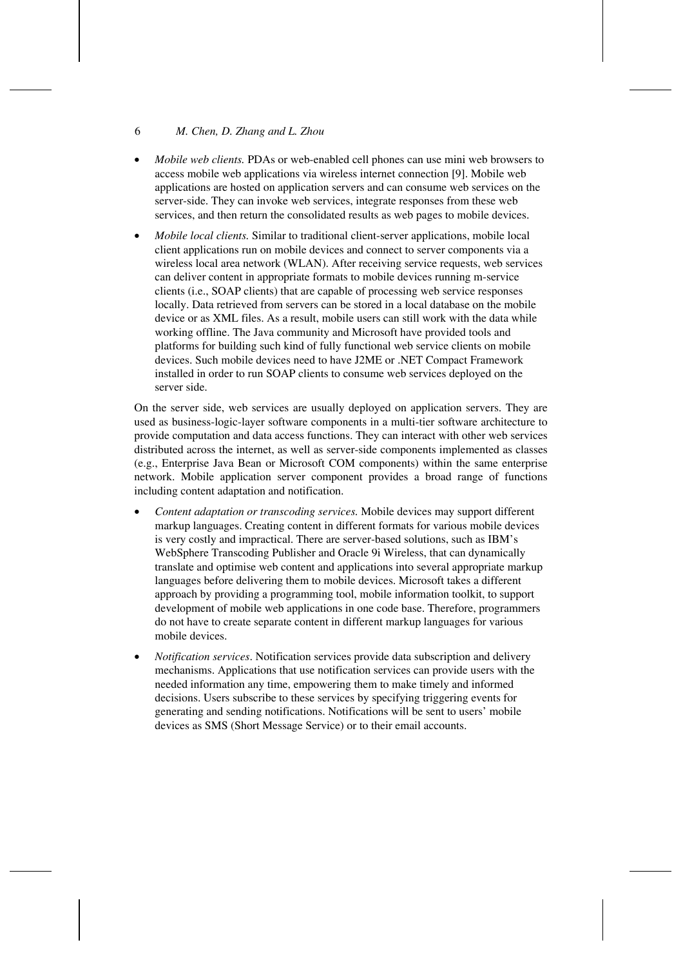- *Mobile web clients.* PDAs or web-enabled cell phones can use mini web browsers to access mobile web applications via wireless internet connection [9]. Mobile web applications are hosted on application servers and can consume web services on the server-side. They can invoke web services, integrate responses from these web services, and then return the consolidated results as web pages to mobile devices.
- *Mobile local clients.* Similar to traditional client-server applications, mobile local client applications run on mobile devices and connect to server components via a wireless local area network (WLAN). After receiving service requests, web services can deliver content in appropriate formats to mobile devices running m-service clients (i.e., SOAP clients) that are capable of processing web service responses locally. Data retrieved from servers can be stored in a local database on the mobile device or as XML files. As a result, mobile users can still work with the data while working offline. The Java community and Microsoft have provided tools and platforms for building such kind of fully functional web service clients on mobile devices. Such mobile devices need to have J2ME or .NET Compact Framework installed in order to run SOAP clients to consume web services deployed on the server side.

On the server side, web services are usually deployed on application servers. They are used as business-logic-layer software components in a multi-tier software architecture to provide computation and data access functions. They can interact with other web services distributed across the internet, as well as server-side components implemented as classes (e.g., Enterprise Java Bean or Microsoft COM components) within the same enterprise network. Mobile application server component provides a broad range of functions including content adaptation and notification.

- *Content adaptation or transcoding services.* Mobile devices may support different markup languages. Creating content in different formats for various mobile devices is very costly and impractical. There are server-based solutions, such as IBM's WebSphere Transcoding Publisher and Oracle 9i Wireless, that can dynamically translate and optimise web content and applications into several appropriate markup languages before delivering them to mobile devices. Microsoft takes a different approach by providing a programming tool, mobile information toolkit, to support development of mobile web applications in one code base. Therefore, programmers do not have to create separate content in different markup languages for various mobile devices.
- *Notification services*. Notification services provide data subscription and delivery mechanisms. Applications that use notification services can provide users with the needed information any time, empowering them to make timely and informed decisions. Users subscribe to these services by specifying triggering events for generating and sending notifications. Notifications will be sent to users' mobile devices as SMS (Short Message Service) or to their email accounts.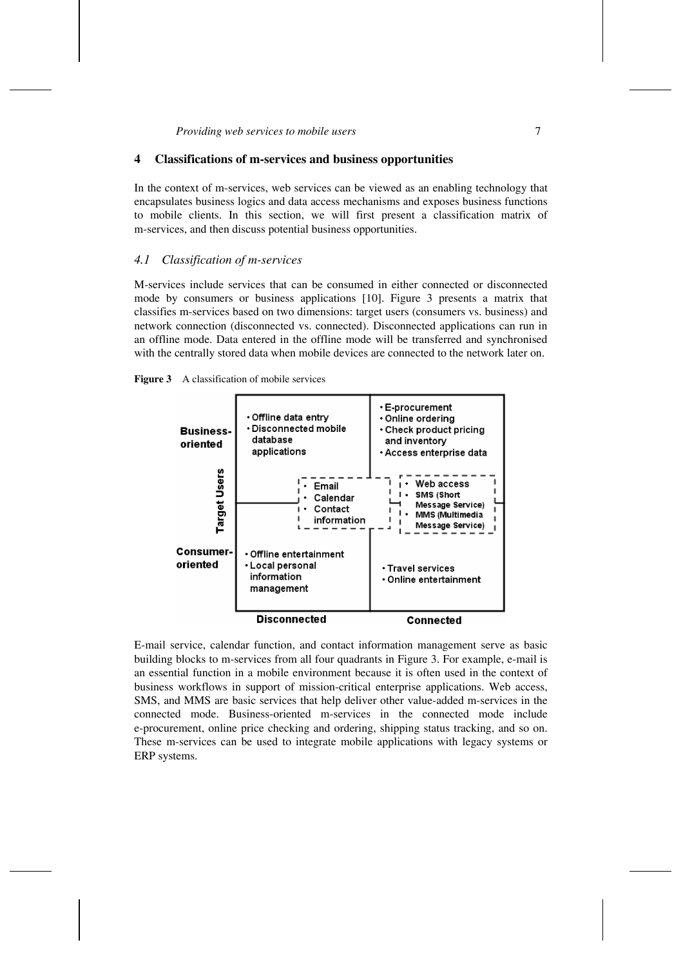## **4 Classifications of m-services and business opportunities**

In the context of m-services, web services can be viewed as an enabling technology that encapsulates business logics and data access mechanisms and exposes business functions to mobile clients. In this section, we will first present a classification matrix of m-services, and then discuss potential business opportunities.

## *4.1 Classification of m-services*

M-services include services that can be consumed in either connected or disconnected mode by consumers or business applications [10]. Figure 3 presents a matrix that classifies m-services based on two dimensions: target users (consumers vs. business) and network connection (disconnected vs. connected). Disconnected applications can run in an offline mode. Data entered in the offline mode will be transferred and synchronised with the centrally stored data when mobile devices are connected to the network later on.





E-mail service, calendar function, and contact information management serve as basic building blocks to m-services from all four quadrants in Figure 3. For example, e-mail is an essential function in a mobile environment because it is often used in the context of business workflows in support of mission-critical enterprise applications. Web access, SMS, and MMS are basic services that help deliver other value-added m-services in the connected mode. Business-oriented m-services in the connected mode include e-procurement, online price checking and ordering, shipping status tracking, and so on. These m-services can be used to integrate mobile applications with legacy systems or ERP systems.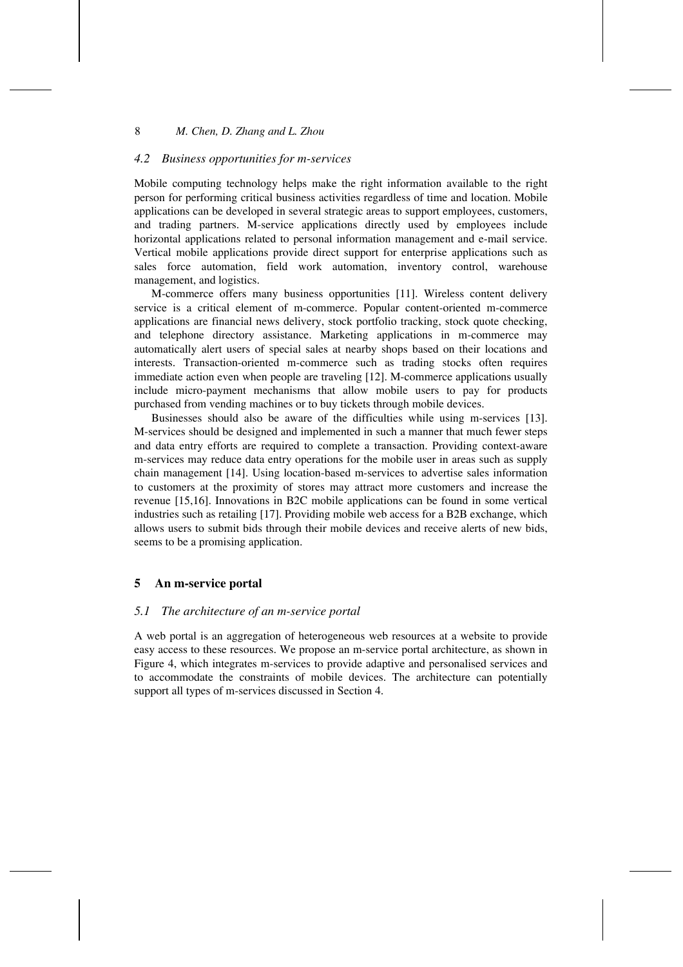### *4.2 Business opportunities for m-services*

Mobile computing technology helps make the right information available to the right person for performing critical business activities regardless of time and location. Mobile applications can be developed in several strategic areas to support employees, customers, and trading partners. M-service applications directly used by employees include horizontal applications related to personal information management and e-mail service. Vertical mobile applications provide direct support for enterprise applications such as sales force automation, field work automation, inventory control, warehouse management, and logistics.

M-commerce offers many business opportunities [11]. Wireless content delivery service is a critical element of m-commerce. Popular content-oriented m-commerce applications are financial news delivery, stock portfolio tracking, stock quote checking, and telephone directory assistance. Marketing applications in m-commerce may automatically alert users of special sales at nearby shops based on their locations and interests. Transaction-oriented m-commerce such as trading stocks often requires immediate action even when people are traveling [12]. M-commerce applications usually include micro-payment mechanisms that allow mobile users to pay for products purchased from vending machines or to buy tickets through mobile devices.

Businesses should also be aware of the difficulties while using m-services [13]. M-services should be designed and implemented in such a manner that much fewer steps and data entry efforts are required to complete a transaction. Providing context-aware m-services may reduce data entry operations for the mobile user in areas such as supply chain management [14]. Using location-based m-services to advertise sales information to customers at the proximity of stores may attract more customers and increase the revenue [15,16]. Innovations in B2C mobile applications can be found in some vertical industries such as retailing [17]. Providing mobile web access for a B2B exchange, which allows users to submit bids through their mobile devices and receive alerts of new bids, seems to be a promising application.

# **5 An m-service portal**

#### *5.1 The architecture of an m-service portal*

A web portal is an aggregation of heterogeneous web resources at a website to provide easy access to these resources. We propose an m-service portal architecture, as shown in Figure 4, which integrates m-services to provide adaptive and personalised services and to accommodate the constraints of mobile devices. The architecture can potentially support all types of m-services discussed in Section 4.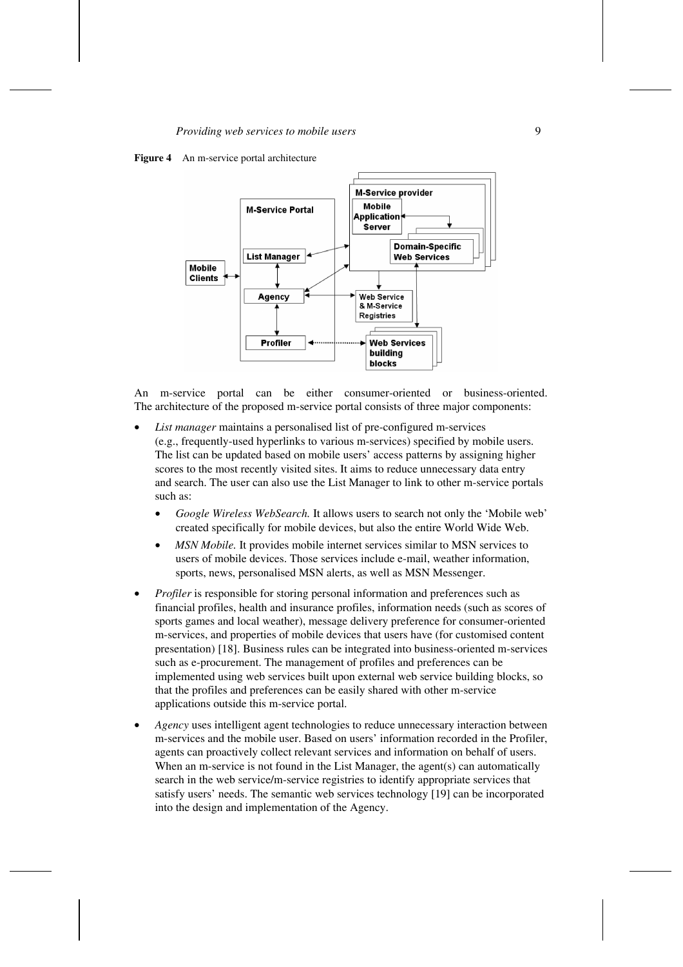#### **Figure 4** An m-service portal architecture



An m-service portal can be either consumer-oriented or business-oriented. The architecture of the proposed m-service portal consists of three major components:

- List manager maintains a personalised list of pre-configured m-services (e.g., frequently-used hyperlinks to various m-services) specified by mobile users. The list can be updated based on mobile users' access patterns by assigning higher scores to the most recently visited sites. It aims to reduce unnecessary data entry and search. The user can also use the List Manager to link to other m-service portals such as:
	- *Google Wireless WebSearch.* It allows users to search not only the 'Mobile web' created specifically for mobile devices, but also the entire World Wide Web.
	- *MSN Mobile.* It provides mobile internet services similar to MSN services to users of mobile devices. Those services include e-mail, weather information, sports, news, personalised MSN alerts, as well as MSN Messenger.
- *Profiler* is responsible for storing personal information and preferences such as financial profiles, health and insurance profiles, information needs (such as scores of sports games and local weather), message delivery preference for consumer-oriented m-services, and properties of mobile devices that users have (for customised content presentation) [18]. Business rules can be integrated into business-oriented m-services such as e-procurement. The management of profiles and preferences can be implemented using web services built upon external web service building blocks, so that the profiles and preferences can be easily shared with other m-service applications outside this m-service portal.
- *Agency* uses intelligent agent technologies to reduce unnecessary interaction between m-services and the mobile user. Based on users' information recorded in the Profiler, agents can proactively collect relevant services and information on behalf of users. When an m-service is not found in the List Manager, the agent(s) can automatically search in the web service/m-service registries to identify appropriate services that satisfy users' needs. The semantic web services technology [19] can be incorporated into the design and implementation of the Agency.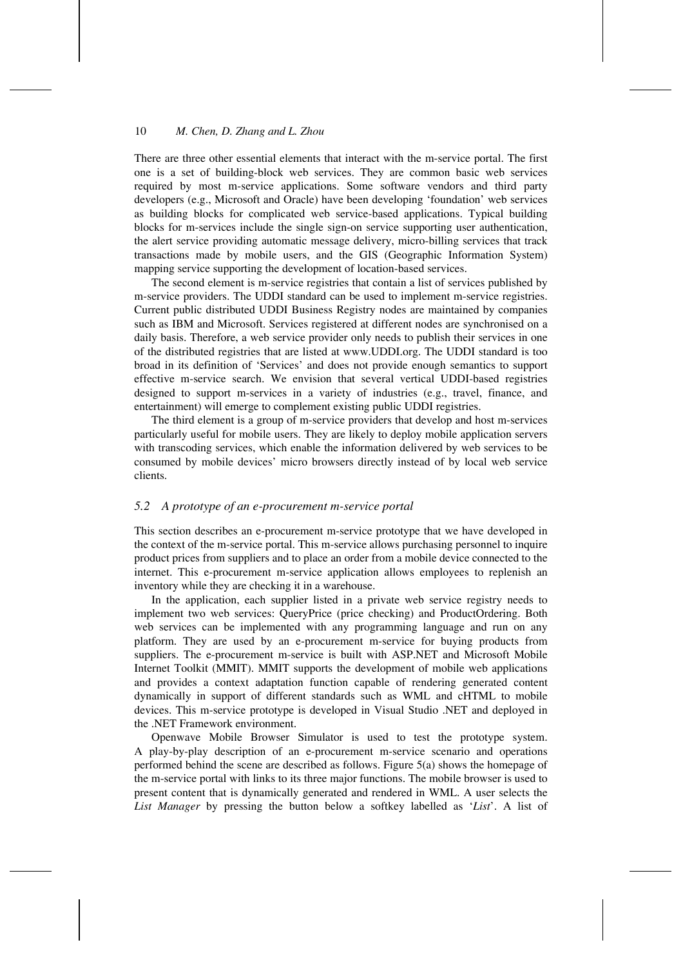There are three other essential elements that interact with the m-service portal. The first one is a set of building-block web services. They are common basic web services required by most m-service applications. Some software vendors and third party developers (e.g., Microsoft and Oracle) have been developing 'foundation' web services as building blocks for complicated web service-based applications. Typical building blocks for m-services include the single sign-on service supporting user authentication, the alert service providing automatic message delivery, micro-billing services that track transactions made by mobile users, and the GIS (Geographic Information System) mapping service supporting the development of location-based services.

The second element is m-service registries that contain a list of services published by m-service providers. The UDDI standard can be used to implement m-service registries. Current public distributed UDDI Business Registry nodes are maintained by companies such as IBM and Microsoft. Services registered at different nodes are synchronised on a daily basis. Therefore, a web service provider only needs to publish their services in one of the distributed registries that are listed at www.UDDI.org. The UDDI standard is too broad in its definition of 'Services' and does not provide enough semantics to support effective m-service search. We envision that several vertical UDDI-based registries designed to support m-services in a variety of industries (e.g., travel, finance, and entertainment) will emerge to complement existing public UDDI registries.

The third element is a group of m-service providers that develop and host m-services particularly useful for mobile users. They are likely to deploy mobile application servers with transcoding services, which enable the information delivered by web services to be consumed by mobile devices' micro browsers directly instead of by local web service clients.

## *5.2 A prototype of an e-procurement m-service portal*

This section describes an e-procurement m-service prototype that we have developed in the context of the m-service portal. This m-service allows purchasing personnel to inquire product prices from suppliers and to place an order from a mobile device connected to the internet. This e-procurement m-service application allows employees to replenish an inventory while they are checking it in a warehouse.

In the application, each supplier listed in a private web service registry needs to implement two web services: QueryPrice (price checking) and ProductOrdering. Both web services can be implemented with any programming language and run on any platform. They are used by an e-procurement m-service for buying products from suppliers. The e-procurement m-service is built with ASP.NET and Microsoft Mobile Internet Toolkit (MMIT). MMIT supports the development of mobile web applications and provides a context adaptation function capable of rendering generated content dynamically in support of different standards such as WML and cHTML to mobile devices. This m-service prototype is developed in Visual Studio .NET and deployed in the .NET Framework environment.

Openwave Mobile Browser Simulator is used to test the prototype system. A play-by-play description of an e-procurement m-service scenario and operations performed behind the scene are described as follows. Figure 5(a) shows the homepage of the m-service portal with links to its three major functions. The mobile browser is used to present content that is dynamically generated and rendered in WML. A user selects the *List Manager* by pressing the button below a softkey labelled as '*List*'. A list of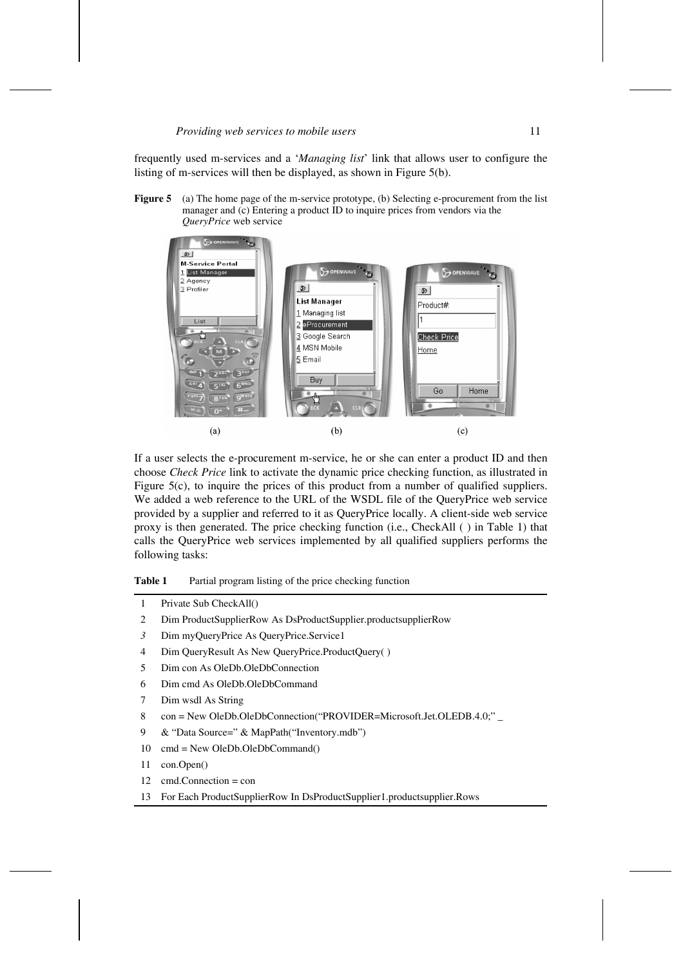frequently used m-services and a '*Managing list*' link that allows user to configure the listing of m-services will then be displayed, as shown in Figure 5(b).

**Figure 5** (a) The home page of the m-service prototype, (b) Selecting e-procurement from the list manager and (c) Entering a product ID to inquire prices from vendors via the *QueryPrice* web service



If a user selects the e-procurement m-service, he or she can enter a product ID and then choose *Check Price* link to activate the dynamic price checking function, as illustrated in Figure 5(c), to inquire the prices of this product from a number of qualified suppliers. We added a web reference to the URL of the WSDL file of the QueryPrice web service provided by a supplier and referred to it as QueryPrice locally. A client-side web service proxy is then generated. The price checking function (i.e., CheckAll ( ) in Table 1) that calls the QueryPrice web services implemented by all qualified suppliers performs the following tasks:

Table 1 Partial program listing of the price checking function

- 1 Private Sub CheckAll()
- 2 Dim ProductSupplierRow As DsProductSupplier.productsupplierRow
- *3* Dim myQueryPrice As QueryPrice.Service1
- 4 Dim QueryResult As New QueryPrice.ProductQuery( )
- 5 Dim con As OleDb.OleDbConnection
- 6 Dim cmd As OleDb.OleDbCommand
- 7 Dim wsdl As String
- 8 con = New OleDb.OleDbConnection("PROVIDER=Microsoft.Jet.OLEDB.4.0;" \_
- 9 & "Data Source=" & MapPath("Inventory.mdb")
- 10 cmd = New OleDb.OleDbCommand()
- 11 con.Open()
- 12 cmd.Connection = con
- 13 For Each ProductSupplierRow In DsProductSupplier1.productsupplier.Rows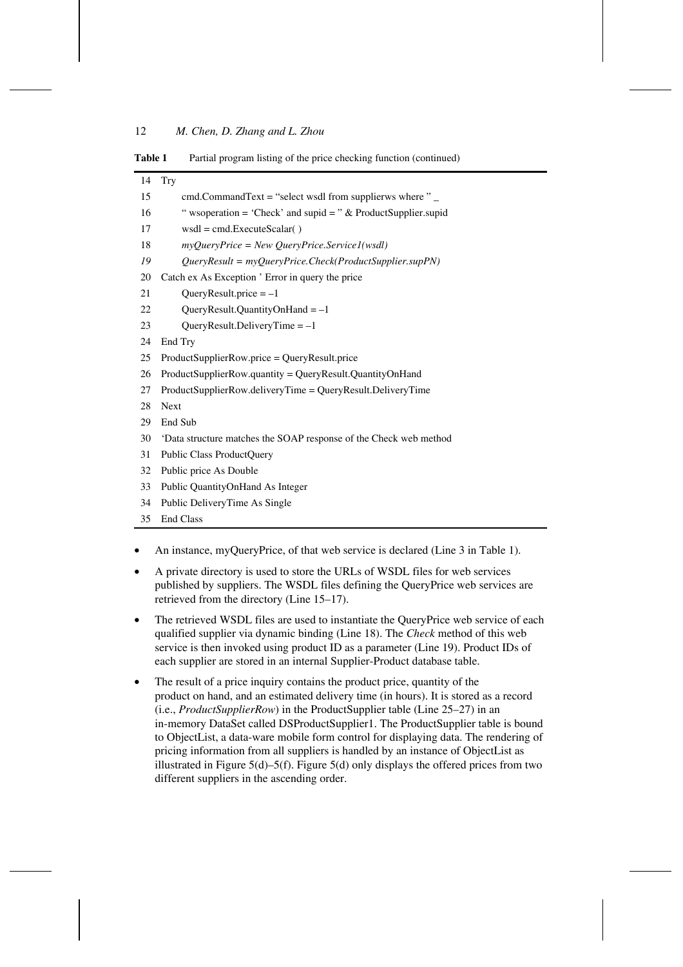Table 1 Partial program listing of the price checking function (continued)

| 14 | Try                                                                               |
|----|-----------------------------------------------------------------------------------|
| 15 | cmd.CommandText = "select wsdl from supplierws where $"$ $\overline{\phantom{a}}$ |
| 16 | " wsoperation = 'Check' and supid = " $&$ ProductSupplier.supid                   |
| 17 | $wsdl = cmd.ExecuteScalar()$                                                      |
| 18 | $myQueryPrice = New QueryPrice.Servised(wsd)$                                     |
| 19 | $QueryResult = myQueryPrice.Check(ProductSupplier.subPN)$                         |
| 20 | Catch ex As Exception ' Error in query the price                                  |
| 21 | QueryResult.price = $-1$                                                          |
| 22 | QueryResult.QuantityOnHand = $-1$                                                 |
| 23 | QueryResult.DeliveryTime $= -1$                                                   |
| 24 | End Try                                                                           |
| 25 | $ProductSupplierRow price = QueryResult price$                                    |
| 26 | ProductSupplierRow.quantity = QueryResult.QuantityOnHand                          |
| 27 | $ProductSupplierRow. deliver yTime = QueryResult. De liveryTime$                  |
| 28 | <b>Next</b>                                                                       |
| 29 | End Sub                                                                           |
| 30 | 'Data structure matches the SOAP response of the Check web method                 |
| 31 | <b>Public Class ProductQuery</b>                                                  |
| 32 | Public price As Double                                                            |
| 33 | Public QuantityOnHand As Integer                                                  |
| 34 | Public DeliveryTime As Single                                                     |
| 35 | <b>End Class</b>                                                                  |

- An instance, myQueryPrice, of that web service is declared (Line 3 in Table 1).
- A private directory is used to store the URLs of WSDL files for web services published by suppliers. The WSDL files defining the QueryPrice web services are retrieved from the directory (Line 15–17).
- The retrieved WSDL files are used to instantiate the QueryPrice web service of each qualified supplier via dynamic binding (Line 18). The *Check* method of this web service is then invoked using product ID as a parameter (Line 19). Product IDs of each supplier are stored in an internal Supplier-Product database table.
- The result of a price inquiry contains the product price, quantity of the product on hand, and an estimated delivery time (in hours). It is stored as a record (i.e., *ProductSupplierRow*) in the ProductSupplier table (Line 25–27) in an in-memory DataSet called DSProductSupplier1. The ProductSupplier table is bound to ObjectList, a data-ware mobile form control for displaying data. The rendering of pricing information from all suppliers is handled by an instance of ObjectList as illustrated in Figure  $5(d)$ – $5(f)$ . Figure  $5(d)$  only displays the offered prices from two different suppliers in the ascending order.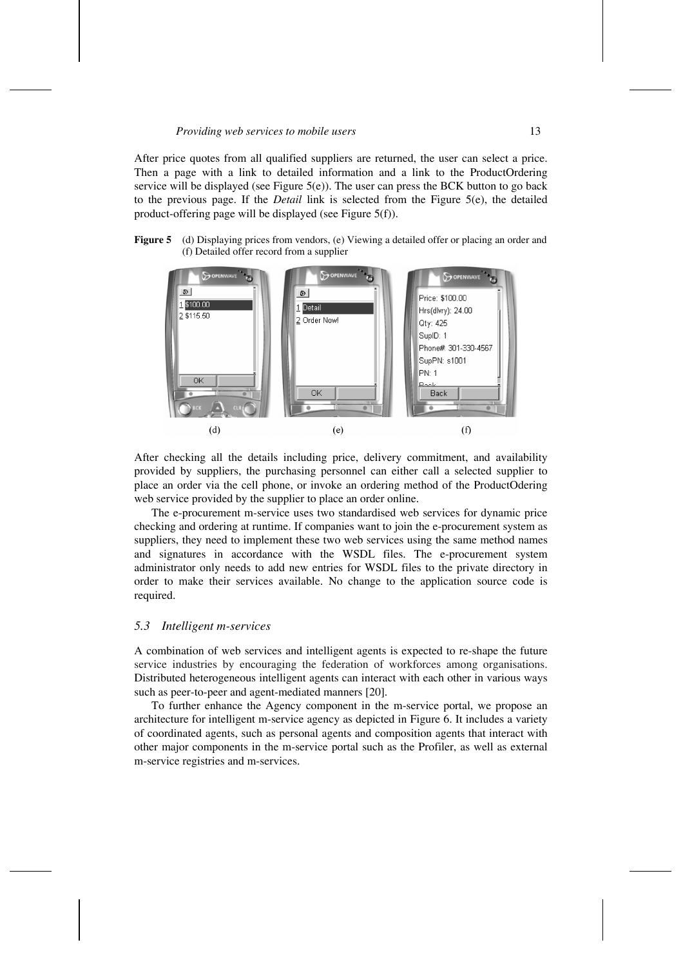After price quotes from all qualified suppliers are returned, the user can select a price. Then a page with a link to detailed information and a link to the ProductOrdering service will be displayed (see Figure  $5(e)$ ). The user can press the BCK button to go back to the previous page. If the *Detail* link is selected from the Figure 5(e), the detailed product-offering page will be displayed (see Figure 5(f)).

Figure 5 (d) Displaying prices from vendors, (e) Viewing a detailed offer or placing an order and (f) Detailed offer record from a supplier



After checking all the details including price, delivery commitment, and availability provided by suppliers, the purchasing personnel can either call a selected supplier to place an order via the cell phone, or invoke an ordering method of the ProductOdering web service provided by the supplier to place an order online.

The e-procurement m-service uses two standardised web services for dynamic price checking and ordering at runtime. If companies want to join the e-procurement system as suppliers, they need to implement these two web services using the same method names and signatures in accordance with the WSDL files. The e-procurement system administrator only needs to add new entries for WSDL files to the private directory in order to make their services available. No change to the application source code is required.

## *5.3 Intelligent m-services*

A combination of web services and intelligent agents is expected to re-shape the future service industries by encouraging the federation of workforces among organisations. Distributed heterogeneous intelligent agents can interact with each other in various ways such as peer-to-peer and agent-mediated manners [20].

To further enhance the Agency component in the m-service portal, we propose an architecture for intelligent m-service agency as depicted in Figure 6. It includes a variety of coordinated agents, such as personal agents and composition agents that interact with other major components in the m-service portal such as the Profiler, as well as external m-service registries and m-services.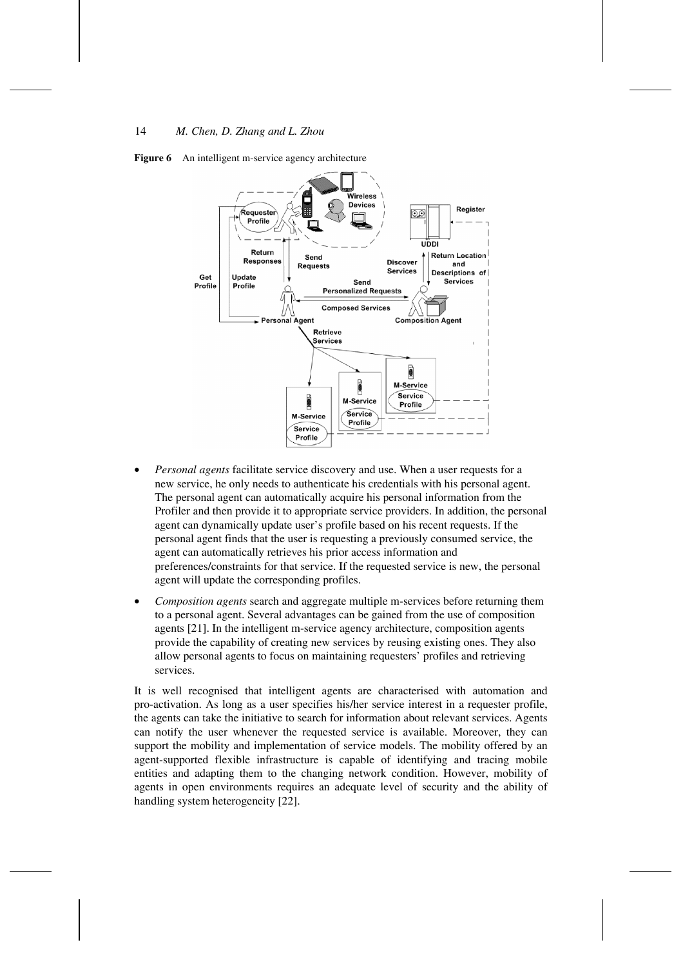



- *Personal agents* facilitate service discovery and use. When a user requests for a new service, he only needs to authenticate his credentials with his personal agent. The personal agent can automatically acquire his personal information from the Profiler and then provide it to appropriate service providers. In addition, the personal agent can dynamically update user's profile based on his recent requests. If the personal agent finds that the user is requesting a previously consumed service, the agent can automatically retrieves his prior access information and preferences/constraints for that service. If the requested service is new, the personal agent will update the corresponding profiles.
- *Composition agents* search and aggregate multiple m-services before returning them to a personal agent. Several advantages can be gained from the use of composition agents [21]. In the intelligent m-service agency architecture, composition agents provide the capability of creating new services by reusing existing ones. They also allow personal agents to focus on maintaining requesters' profiles and retrieving services.

It is well recognised that intelligent agents are characterised with automation and pro-activation. As long as a user specifies his/her service interest in a requester profile, the agents can take the initiative to search for information about relevant services. Agents can notify the user whenever the requested service is available. Moreover, they can support the mobility and implementation of service models. The mobility offered by an agent-supported flexible infrastructure is capable of identifying and tracing mobile entities and adapting them to the changing network condition. However, mobility of agents in open environments requires an adequate level of security and the ability of handling system heterogeneity [22].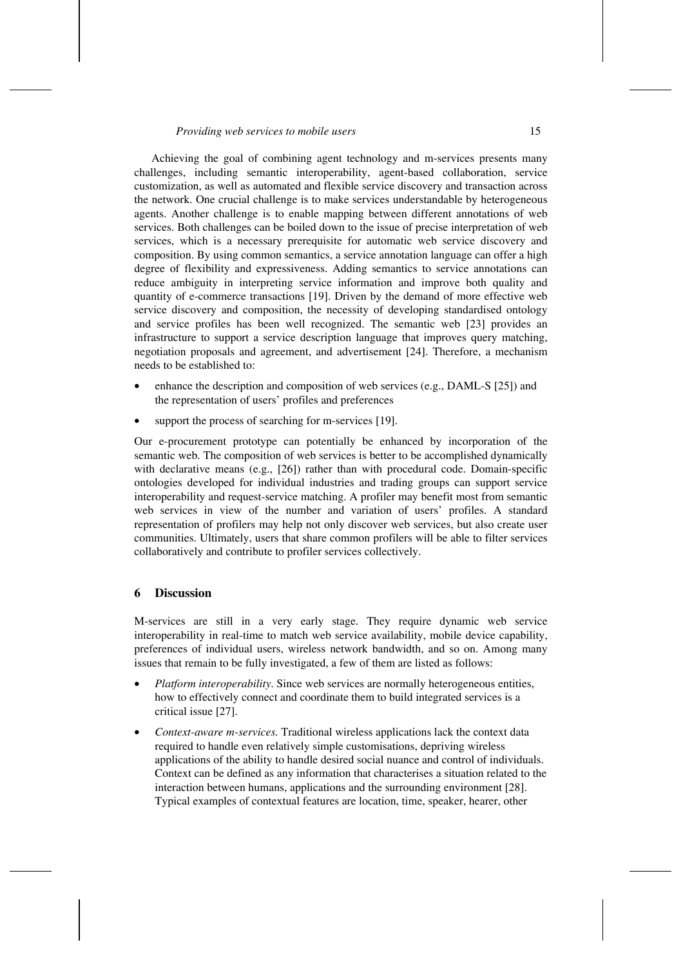Achieving the goal of combining agent technology and m-services presents many challenges, including semantic interoperability, agent-based collaboration, service customization, as well as automated and flexible service discovery and transaction across the network. One crucial challenge is to make services understandable by heterogeneous agents. Another challenge is to enable mapping between different annotations of web services. Both challenges can be boiled down to the issue of precise interpretation of web services, which is a necessary prerequisite for automatic web service discovery and composition. By using common semantics, a service annotation language can offer a high degree of flexibility and expressiveness. Adding semantics to service annotations can reduce ambiguity in interpreting service information and improve both quality and quantity of e-commerce transactions [19]. Driven by the demand of more effective web service discovery and composition, the necessity of developing standardised ontology and service profiles has been well recognized. The semantic web [23] provides an infrastructure to support a service description language that improves query matching, negotiation proposals and agreement, and advertisement [24]. Therefore, a mechanism needs to be established to:

- enhance the description and composition of web services (e.g., DAML-S [25]) and the representation of users' profiles and preferences
- support the process of searching for m-services [19].

Our e-procurement prototype can potentially be enhanced by incorporation of the semantic web. The composition of web services is better to be accomplished dynamically with declarative means (e.g., [26]) rather than with procedural code. Domain-specific ontologies developed for individual industries and trading groups can support service interoperability and request-service matching. A profiler may benefit most from semantic web services in view of the number and variation of users' profiles. A standard representation of profilers may help not only discover web services, but also create user communities. Ultimately, users that share common profilers will be able to filter services collaboratively and contribute to profiler services collectively.

## **6 Discussion**

M-services are still in a very early stage. They require dynamic web service interoperability in real-time to match web service availability, mobile device capability, preferences of individual users, wireless network bandwidth, and so on. Among many issues that remain to be fully investigated, a few of them are listed as follows:

- *Platform interoperability*. Since web services are normally heterogeneous entities, how to effectively connect and coordinate them to build integrated services is a critical issue [27].
- *Context-aware m-services.* Traditional wireless applications lack the context data required to handle even relatively simple customisations, depriving wireless applications of the ability to handle desired social nuance and control of individuals. Context can be defined as any information that characterises a situation related to the interaction between humans, applications and the surrounding environment [28]. Typical examples of contextual features are location, time, speaker, hearer, other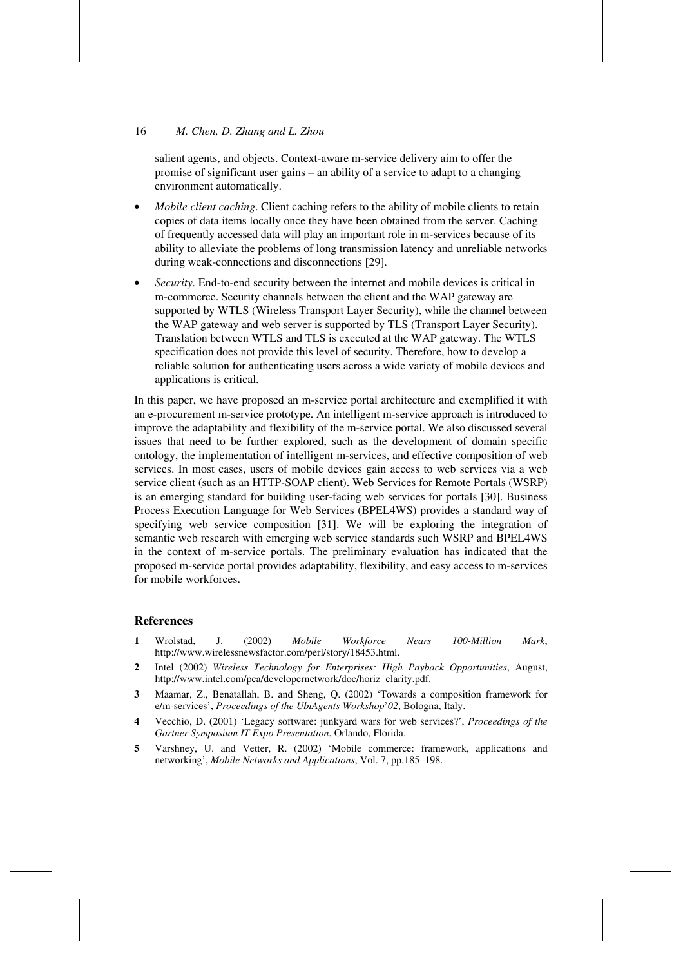salient agents, and objects. Context-aware m-service delivery aim to offer the promise of significant user gains – an ability of a service to adapt to a changing environment automatically.

- *Mobile client caching*. Client caching refers to the ability of mobile clients to retain copies of data items locally once they have been obtained from the server. Caching of frequently accessed data will play an important role in m-services because of its ability to alleviate the problems of long transmission latency and unreliable networks during weak-connections and disconnections [29].
- *Security.* End-to-end security between the internet and mobile devices is critical in m-commerce. Security channels between the client and the WAP gateway are supported by WTLS (Wireless Transport Layer Security), while the channel between the WAP gateway and web server is supported by TLS (Transport Layer Security). Translation between WTLS and TLS is executed at the WAP gateway. The WTLS specification does not provide this level of security. Therefore, how to develop a reliable solution for authenticating users across a wide variety of mobile devices and applications is critical.

In this paper, we have proposed an m-service portal architecture and exemplified it with an e-procurement m-service prototype. An intelligent m-service approach is introduced to improve the adaptability and flexibility of the m-service portal. We also discussed several issues that need to be further explored, such as the development of domain specific ontology, the implementation of intelligent m-services, and effective composition of web services. In most cases, users of mobile devices gain access to web services via a web service client (such as an HTTP-SOAP client). Web Services for Remote Portals (WSRP) is an emerging standard for building user-facing web services for portals [30]. Business Process Execution Language for Web Services (BPEL4WS) provides a standard way of specifying web service composition [31]. We will be exploring the integration of semantic web research with emerging web service standards such WSRP and BPEL4WS in the context of m-service portals. The preliminary evaluation has indicated that the proposed m-service portal provides adaptability, flexibility, and easy access to m-services for mobile workforces.

### **References**

- **1** Wrolstad, J. (2002) *Mobile Workforce Nears 100-Million Mark*, http://www.wirelessnewsfactor.com/perl/story/18453.html.
- **2** Intel (2002) *Wireless Technology for Enterprises: High Payback Opportunities*, August, http://www.intel.com/pca/developernetwork/doc/horiz\_clarity.pdf.
- **3** Maamar, Z., Benatallah, B. and Sheng, Q. (2002) 'Towards a composition framework for e/m-services', *Proceedings of the UbiAgents Workshop*'*02*, Bologna, Italy.
- **4** Vecchio, D. (2001) 'Legacy software: junkyard wars for web services?', *Proceedings of the Gartner Symposium IT Expo Presentation*, Orlando, Florida.
- **5** Varshney, U. and Vetter, R. (2002) 'Mobile commerce: framework, applications and networking', *Mobile Networks and Applications*, Vol. 7, pp.185–198.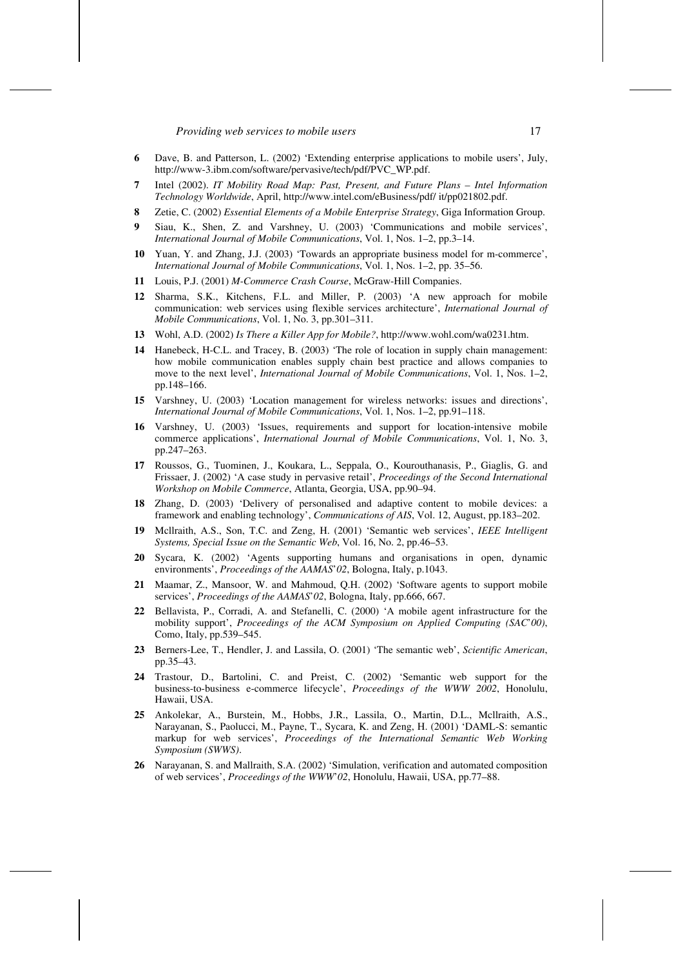- **6** Dave, B. and Patterson, L. (2002) 'Extending enterprise applications to mobile users', July, http://www-3.ibm.com/software/pervasive/tech/pdf/PVC\_WP.pdf.
- **7** Intel (2002). *IT Mobility Road Map: Past, Present, and Future Plans Intel Information Technology Worldwide*, April, http://www.intel.com/eBusiness/pdf/ it/pp021802.pdf.
- **8** Zetie, C. (2002) *Essential Elements of a Mobile Enterprise Strategy*, Giga Information Group.
- **9** Siau, K., Shen, Z. and Varshney, U. (2003) 'Communications and mobile services', *International Journal of Mobile Communications*, Vol. 1, Nos. 1–2, pp.3–14.
- Yuan, Y. and Zhang, J.J. (2003) 'Towards an appropriate business model for m-commerce', *International Journal of Mobile Communications*, Vol. 1, Nos. 1–2, pp. 35–56.
- **11** Louis, P.J. (2001) *M-Commerce Crash Course*, McGraw-Hill Companies.
- **12** Sharma, S.K., Kitchens, F.L. and Miller, P. (2003) 'A new approach for mobile communication: web services using flexible services architecture', *International Journal of Mobile Communications*, Vol. 1, No. 3, pp.301–311.
- **13** Wohl, A.D. (2002) *Is There a Killer App for Mobile?*, http://www.wohl.com/wa0231.htm.
- **14** Hanebeck, H-C.L. and Tracey, B. (2003) 'The role of location in supply chain management: how mobile communication enables supply chain best practice and allows companies to move to the next level', *International Journal of Mobile Communications*, Vol. 1, Nos. 1–2, pp.148–166.
- **15** Varshney, U. (2003) 'Location management for wireless networks: issues and directions', *International Journal of Mobile Communications*, Vol. 1, Nos. 1–2, pp.91–118.
- **16** Varshney, U. (2003) 'Issues, requirements and support for location-intensive mobile commerce applications', *International Journal of Mobile Communications*, Vol. 1, No. 3, pp.247–263.
- **17** Roussos, G., Tuominen, J., Koukara, L., Seppala, O., Kourouthanasis, P., Giaglis, G. and Frissaer, J. (2002) 'A case study in pervasive retail', *Proceedings of the Second International Workshop on Mobile Commerce*, Atlanta, Georgia, USA, pp.90–94.
- **18** Zhang, D. (2003) 'Delivery of personalised and adaptive content to mobile devices: a framework and enabling technology', *Communications of AIS*, Vol. 12, August, pp.183–202.
- **19** Mcllraith, A.S., Son, T.C. and Zeng, H. (2001) 'Semantic web services', *IEEE Intelligent Systems, Special Issue on the Semantic Web*, Vol. 16, No. 2, pp.46–53.
- **20** Sycara, K. (2002) 'Agents supporting humans and organisations in open, dynamic environments', *Proceedings of the AAMAS*'*02*, Bologna, Italy, p.1043.
- **21** Maamar, Z., Mansoor, W. and Mahmoud, Q.H. (2002) 'Software agents to support mobile services', *Proceedings of the AAMAS*'*02*, Bologna, Italy, pp.666, 667.
- **22** Bellavista, P., Corradi, A. and Stefanelli, C. (2000) 'A mobile agent infrastructure for the mobility support', *Proceedings of the ACM Symposium on Applied Computing (SAC*'*00)*, Como, Italy, pp.539–545.
- **23** Berners-Lee, T., Hendler, J. and Lassila, O. (2001) 'The semantic web', *Scientific American*, pp.35–43.
- **24** Trastour, D., Bartolini, C. and Preist, C. (2002) 'Semantic web support for the business-to-business e-commerce lifecycle', *Proceedings of the WWW 2002*, Honolulu, Hawaii, USA.
- **25** Ankolekar, A., Burstein, M., Hobbs, J.R., Lassila, O., Martin, D.L., Mcllraith, A.S., Narayanan, S., Paolucci, M., Payne, T., Sycara, K. and Zeng, H. (2001) 'DAML-S: semantic markup for web services', *Proceedings of the International Semantic Web Working Symposium (SWWS)*.
- **26** Narayanan, S. and Mallraith, S.A. (2002) 'Simulation, verification and automated composition of web services', *Proceedings of the WWW*'*02*, Honolulu, Hawaii, USA, pp.77–88.